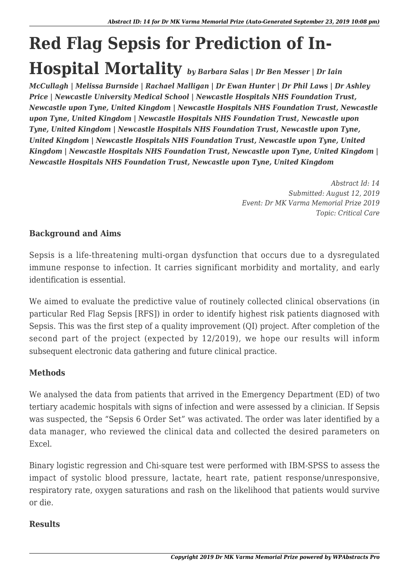# **Red Flag Sepsis for Prediction of In-Hospital Mortality** *by Barbara Salas | Dr Ben Messer | Dr Iain*

*McCullagh | Melissa Burnside | Rachael Malligan | Dr Ewan Hunter | Dr Phil Laws | Dr Ashley Price | Newcastle University Medical School | Newcastle Hospitals NHS Foundation Trust, Newcastle upon Tyne, United Kingdom | Newcastle Hospitals NHS Foundation Trust, Newcastle upon Tyne, United Kingdom | Newcastle Hospitals NHS Foundation Trust, Newcastle upon Tyne, United Kingdom | Newcastle Hospitals NHS Foundation Trust, Newcastle upon Tyne, United Kingdom | Newcastle Hospitals NHS Foundation Trust, Newcastle upon Tyne, United Kingdom | Newcastle Hospitals NHS Foundation Trust, Newcastle upon Tyne, United Kingdom | Newcastle Hospitals NHS Foundation Trust, Newcastle upon Tyne, United Kingdom*

> *Abstract Id: 14 Submitted: August 12, 2019 Event: Dr MK Varma Memorial Prize 2019 Topic: Critical Care*

## **Background and Aims**

Sepsis is a life-threatening multi-organ dysfunction that occurs due to a dysregulated immune response to infection. It carries significant morbidity and mortality, and early identification is essential.

We aimed to evaluate the predictive value of routinely collected clinical observations (in particular Red Flag Sepsis [RFS]) in order to identify highest risk patients diagnosed with Sepsis. This was the first step of a quality improvement (QI) project. After completion of the second part of the project (expected by 12/2019), we hope our results will inform subsequent electronic data gathering and future clinical practice.

## **Methods**

We analysed the data from patients that arrived in the Emergency Department (ED) of two tertiary academic hospitals with signs of infection and were assessed by a clinician. If Sepsis was suspected, the "Sepsis 6 Order Set" was activated. The order was later identified by a data manager, who reviewed the clinical data and collected the desired parameters on Excel.

Binary logistic regression and Chi-square test were performed with IBM-SPSS to assess the impact of systolic blood pressure, lactate, heart rate, patient response/unresponsive, respiratory rate, oxygen saturations and rash on the likelihood that patients would survive or die.

#### **Results**